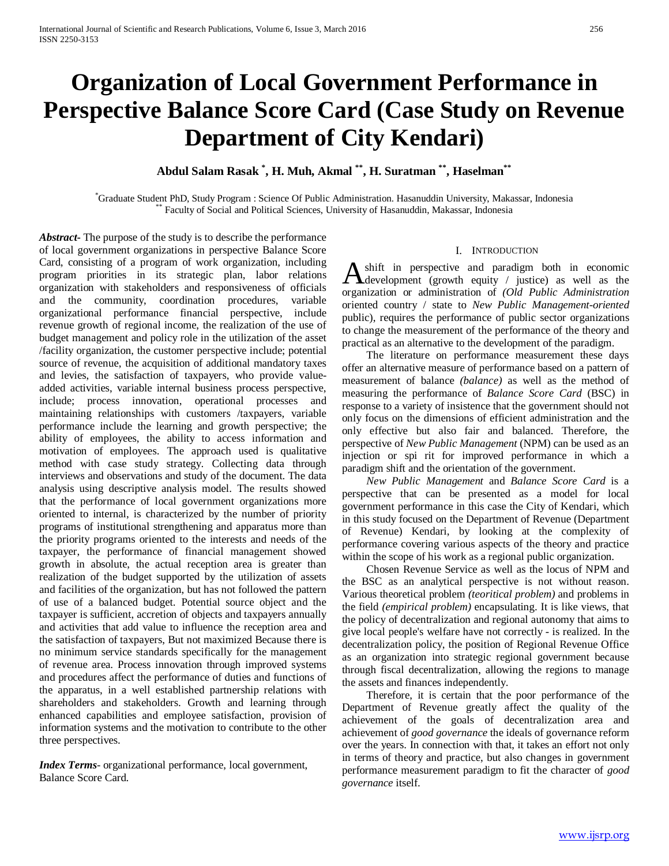# **Organization of Local Government Performance in Perspective Balance Score Card (Case Study on Revenue Department of City Kendari)**

## **Abdul Salam Rasak \* , H. Muh, Akmal \*\*, H. Suratman \*\*, Haselman\*\***

\* Graduate Student PhD, Study Program : Science Of Public Administration. Hasanuddin University, Makassar, Indonesia \*\* Faculty of Social and Political Sciences, University of Hasanuddin, Makassar, Indonesia

*Abstract***-** The purpose of the study is to describe the performance of local government organizations in perspective Balance Score Card, consisting of a program of work organization, including program priorities in its strategic plan, labor relations organization with stakeholders and responsiveness of officials and the community, coordination procedures, variable organizational performance financial perspective, include revenue growth of regional income, the realization of the use of budget management and policy role in the utilization of the asset /facility organization, the customer perspective include; potential source of revenue, the acquisition of additional mandatory taxes and levies, the satisfaction of taxpayers, who provide valueadded activities, variable internal business process perspective, include; process innovation, operational processes and maintaining relationships with customers /taxpayers, variable performance include the learning and growth perspective; the ability of employees, the ability to access information and motivation of employees. The approach used is qualitative method with case study strategy. Collecting data through interviews and observations and study of the document. The data analysis using descriptive analysis model. The results showed that the performance of local government organizations more oriented to internal, is characterized by the number of priority programs of institutional strengthening and apparatus more than the priority programs oriented to the interests and needs of the taxpayer, the performance of financial management showed growth in absolute, the actual reception area is greater than realization of the budget supported by the utilization of assets and facilities of the organization, but has not followed the pattern of use of a balanced budget. Potential source object and the taxpayer is sufficient, accretion of objects and taxpayers annually and activities that add value to influence the reception area and the satisfaction of taxpayers, But not maximized Because there is no minimum service standards specifically for the management of revenue area. Process innovation through improved systems and procedures affect the performance of duties and functions of the apparatus, in a well established partnership relations with shareholders and stakeholders. Growth and learning through enhanced capabilities and employee satisfaction, provision of information systems and the motivation to contribute to the other three perspectives.

*Index Terms*- organizational performance, local government, Balance Score Card.

### I. INTRODUCTION

shift in perspective and paradigm both in economic  $\bigwedge_{\text{development}}$  (growth equity / justice) as well as the development (growth equity / justice) as well as the organization or administration of *(Old Public Administration* oriented country / state to *New Public Management-oriented* public), requires the performance of public sector organizations to change the measurement of the performance of the theory and practical as an alternative to the development of the paradigm.

 The literature on performance measurement these days offer an alternative measure of performance based on a pattern of measurement of balance *(balance)* as well as the method of measuring the performance of *Balance Score Card* (BSC) in response to a variety of insistence that the government should not only focus on the dimensions of efficient administration and the only effective but also fair and balanced. Therefore, the perspective of *New Public Management* (NPM) can be used as an injection or spi rit for improved performance in which a paradigm shift and the orientation of the government.

 *New Public Management* and *Balance Score Card* is a perspective that can be presented as a model for local government performance in this case the City of Kendari, which in this study focused on the Department of Revenue (Department of Revenue) Kendari, by looking at the complexity of performance covering various aspects of the theory and practice within the scope of his work as a regional public organization.

 Chosen Revenue Service as well as the locus of NPM and the BSC as an analytical perspective is not without reason. Various theoretical problem *(teoritical problem)* and problems in the field *(empirical problem)* encapsulating. It is like views, that the policy of decentralization and regional autonomy that aims to give local people's welfare have not correctly - is realized. In the decentralization policy, the position of Regional Revenue Office as an organization into strategic regional government because through fiscal decentralization, allowing the regions to manage the assets and finances independently.

 Therefore, it is certain that the poor performance of the Department of Revenue greatly affect the quality of the achievement of the goals of decentralization area and achievement of *good governance* the ideals of governance reform over the years. In connection with that, it takes an effort not only in terms of theory and practice, but also changes in government performance measurement paradigm to fit the character of *good governance* itself.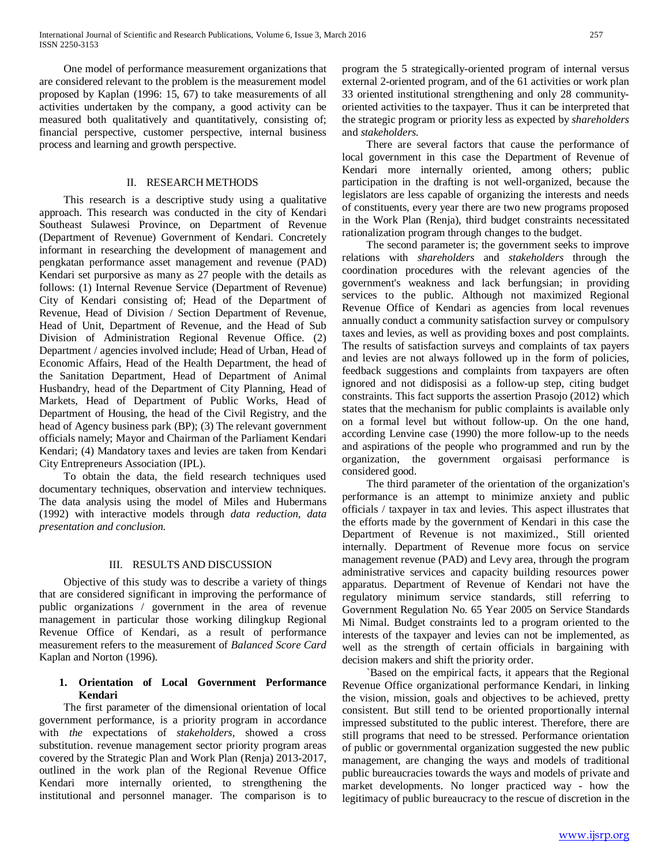One model of performance measurement organizations that are considered relevant to the problem is the measurement model proposed by Kaplan (1996: 15, 67) to take measurements of all activities undertaken by the company, a good activity can be measured both qualitatively and quantitatively, consisting of; financial perspective, customer perspective, internal business process and learning and growth perspective.

#### II. RESEARCH METHODS

 This research is a descriptive study using a qualitative approach. This research was conducted in the city of Kendari Southeast Sulawesi Province, on Department of Revenue (Department of Revenue) Government of Kendari. Concretely informant in researching the development of management and pengkatan performance asset management and revenue (PAD) Kendari set purporsive as many as 27 people with the details as follows: (1) Internal Revenue Service (Department of Revenue) City of Kendari consisting of; Head of the Department of Revenue, Head of Division / Section Department of Revenue, Head of Unit, Department of Revenue, and the Head of Sub Division of Administration Regional Revenue Office. (2) Department / agencies involved include; Head of Urban, Head of Economic Affairs, Head of the Health Department, the head of the Sanitation Department, Head of Department of Animal Husbandry, head of the Department of City Planning, Head of Markets, Head of Department of Public Works, Head of Department of Housing, the head of the Civil Registry, and the head of Agency business park (BP); (3) The relevant government officials namely; Mayor and Chairman of the Parliament Kendari Kendari; (4) Mandatory taxes and levies are taken from Kendari City Entrepreneurs Association (IPL).

 To obtain the data, the field research techniques used documentary techniques, observation and interview techniques. The data analysis using the model of Miles and Hubermans (1992) with interactive models through *data reduction, data presentation and conclusion.*

#### III. RESULTS AND DISCUSSION

 Objective of this study was to describe a variety of things that are considered significant in improving the performance of public organizations / government in the area of revenue management in particular those working dilingkup Regional Revenue Office of Kendari, as a result of performance measurement refers to the measurement of *Balanced Score Card* Kaplan and Norton (1996).

### **1. Orientation of Local Government Performance Kendari**

 The first parameter of the dimensional orientation of local government performance, is a priority program in accordance with *the* expectations of *stakeholders,* showed a cross substitution. revenue management sector priority program areas covered by the Strategic Plan and Work Plan (Renja) 2013-2017, outlined in the work plan of the Regional Revenue Office Kendari more internally oriented, to strengthening the institutional and personnel manager. The comparison is to program the 5 strategically-oriented program of internal versus external 2-oriented program, and of the 61 activities or work plan 33 oriented institutional strengthening and only 28 communityoriented activities to the taxpayer. Thus it can be interpreted that the strategic program or priority less as expected by *shareholders* and *stakeholders.*

 There are several factors that cause the performance of local government in this case the Department of Revenue of Kendari more internally oriented, among others; public participation in the drafting is not well-organized, because the legislators are less capable of organizing the interests and needs of constituents, every year there are two new programs proposed in the Work Plan (Renja), third budget constraints necessitated rationalization program through changes to the budget.

 The second parameter is; the government seeks to improve relations with *shareholders* and *stakeholders* through the coordination procedures with the relevant agencies of the government's weakness and lack berfungsian; in providing services to the public. Although not maximized Regional Revenue Office of Kendari as agencies from local revenues annually conduct a community satisfaction survey or compulsory taxes and levies, as well as providing boxes and post complaints. The results of satisfaction surveys and complaints of tax payers and levies are not always followed up in the form of policies, feedback suggestions and complaints from taxpayers are often ignored and not didisposisi as a follow-up step, citing budget constraints. This fact supports the assertion Prasojo (2012) which states that the mechanism for public complaints is available only on a formal level but without follow-up. On the one hand, according Lenvine case (1990) the more follow-up to the needs and aspirations of the people who programmed and run by the organization, the government orgaisasi performance is considered good.

 The third parameter of the orientation of the organization's performance is an attempt to minimize anxiety and public officials / taxpayer in tax and levies. This aspect illustrates that the efforts made by the government of Kendari in this case the Department of Revenue is not maximized., Still oriented internally. Department of Revenue more focus on service management revenue (PAD) and Levy area, through the program administrative services and capacity building resources power apparatus. Department of Revenue of Kendari not have the regulatory minimum service standards, still referring to Government Regulation No. 65 Year 2005 on Service Standards Mi Nimal. Budget constraints led to a program oriented to the interests of the taxpayer and levies can not be implemented, as well as the strength of certain officials in bargaining with decision makers and shift the priority order.

 `Based on the empirical facts, it appears that the Regional Revenue Office organizational performance Kendari, in linking the vision, mission, goals and objectives to be achieved, pretty consistent. But still tend to be oriented proportionally internal impressed substituted to the public interest. Therefore, there are still programs that need to be stressed. Performance orientation of public or governmental organization suggested the new public management, are changing the ways and models of traditional public bureaucracies towards the ways and models of private and market developments. No longer practiced way - how the legitimacy of public bureaucracy to the rescue of discretion in the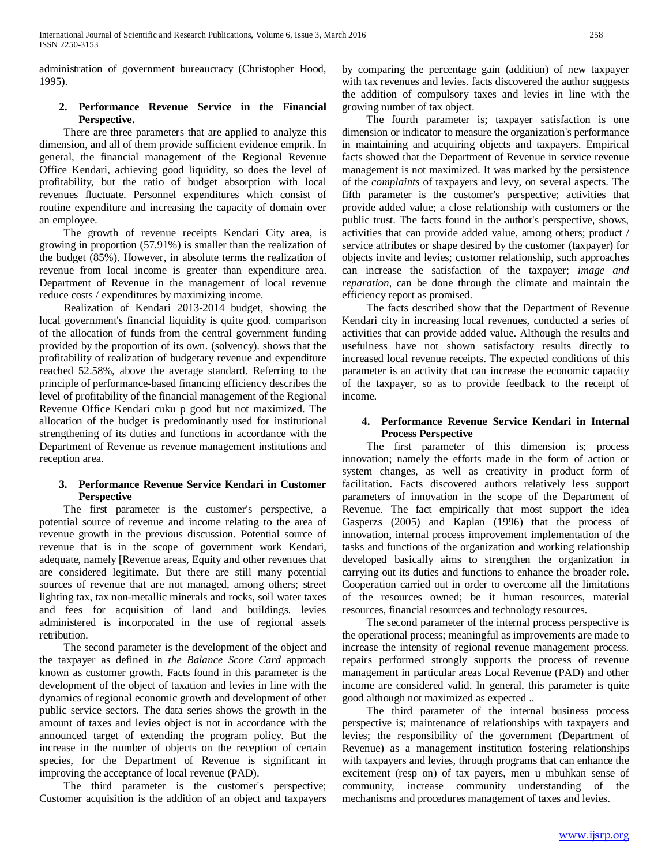administration of government bureaucracy (Christopher Hood, 1995).

### **2. Performance Revenue Service in the Financial Perspective.**

 There are three parameters that are applied to analyze this dimension, and all of them provide sufficient evidence emprik. In general, the financial management of the Regional Revenue Office Kendari, achieving good liquidity, so does the level of profitability, but the ratio of budget absorption with local revenues fluctuate. Personnel expenditures which consist of routine expenditure and increasing the capacity of domain over an employee.

 The growth of revenue receipts Kendari City area, is growing in proportion (57.91%) is smaller than the realization of the budget (85%). However, in absolute terms the realization of revenue from local income is greater than expenditure area. Department of Revenue in the management of local revenue reduce costs / expenditures by maximizing income.

 Realization of Kendari 2013-2014 budget, showing the local government's financial liquidity is quite good. comparison of the allocation of funds from the central government funding provided by the proportion of its own. (solvency). shows that the profitability of realization of budgetary revenue and expenditure reached 52.58%, above the average standard. Referring to the principle of performance-based financing efficiency describes the level of profitability of the financial management of the Regional Revenue Office Kendari cuku p good but not maximized. The allocation of the budget is predominantly used for institutional strengthening of its duties and functions in accordance with the Department of Revenue as revenue management institutions and reception area.

### **3. Performance Revenue Service Kendari in Customer Perspective**

 The first parameter is the customer's perspective, a potential source of revenue and income relating to the area of revenue growth in the previous discussion. Potential source of revenue that is in the scope of government work Kendari, adequate, namely [Revenue areas, Equity and other revenues that are considered legitimate. But there are still many potential sources of revenue that are not managed, among others; street lighting tax, tax non-metallic minerals and rocks, soil water taxes and fees for acquisition of land and buildings. levies administered is incorporated in the use of regional assets retribution.

 The second parameter is the development of the object and the taxpayer as defined in *the Balance Score Card* approach known as customer growth. Facts found in this parameter is the development of the object of taxation and levies in line with the dynamics of regional economic growth and development of other public service sectors. The data series shows the growth in the amount of taxes and levies object is not in accordance with the announced target of extending the program policy. But the increase in the number of objects on the reception of certain species, for the Department of Revenue is significant in improving the acceptance of local revenue (PAD).

 The third parameter is the customer's perspective; Customer acquisition is the addition of an object and taxpayers by comparing the percentage gain (addition) of new taxpayer with tax revenues and levies. facts discovered the author suggests the addition of compulsory taxes and levies in line with the growing number of tax object.

 The fourth parameter is; taxpayer satisfaction is one dimension or indicator to measure the organization's performance in maintaining and acquiring objects and taxpayers. Empirical facts showed that the Department of Revenue in service revenue management is not maximized. It was marked by the persistence of the *complaints* of taxpayers and levy, on several aspects. The fifth parameter is the customer's perspective; activities that provide added value; a close relationship with customers or the public trust. The facts found in the author's perspective, shows, activities that can provide added value, among others; product / service attributes or shape desired by the customer (taxpayer) for objects invite and levies; customer relationship, such approaches can increase the satisfaction of the taxpayer; *image and reparation,* can be done through the climate and maintain the efficiency report as promised.

 The facts described show that the Department of Revenue Kendari city in increasing local revenues, conducted a series of activities that can provide added value. Although the results and usefulness have not shown satisfactory results directly to increased local revenue receipts. The expected conditions of this parameter is an activity that can increase the economic capacity of the taxpayer, so as to provide feedback to the receipt of income.

#### **4. Performance Revenue Service Kendari in Internal Process Perspective**

 The first parameter of this dimension is; process innovation; namely the efforts made in the form of action or system changes, as well as creativity in product form of facilitation. Facts discovered authors relatively less support parameters of innovation in the scope of the Department of Revenue. The fact empirically that most support the idea Gasperzs (2005) and Kaplan (1996) that the process of innovation, internal process improvement implementation of the tasks and functions of the organization and working relationship developed basically aims to strengthen the organization in carrying out its duties and functions to enhance the broader role. Cooperation carried out in order to overcome all the limitations of the resources owned; be it human resources, material resources, financial resources and technology resources.

 The second parameter of the internal process perspective is the operational process; meaningful as improvements are made to increase the intensity of regional revenue management process. repairs performed strongly supports the process of revenue management in particular areas Local Revenue (PAD) and other income are considered valid. In general, this parameter is quite good although not maximized as expected ..

 The third parameter of the internal business process perspective is; maintenance of relationships with taxpayers and levies; the responsibility of the government (Department of Revenue) as a management institution fostering relationships with taxpayers and levies, through programs that can enhance the excitement (resp on) of tax payers, men u mbuhkan sense of community, increase community understanding of the mechanisms and procedures management of taxes and levies.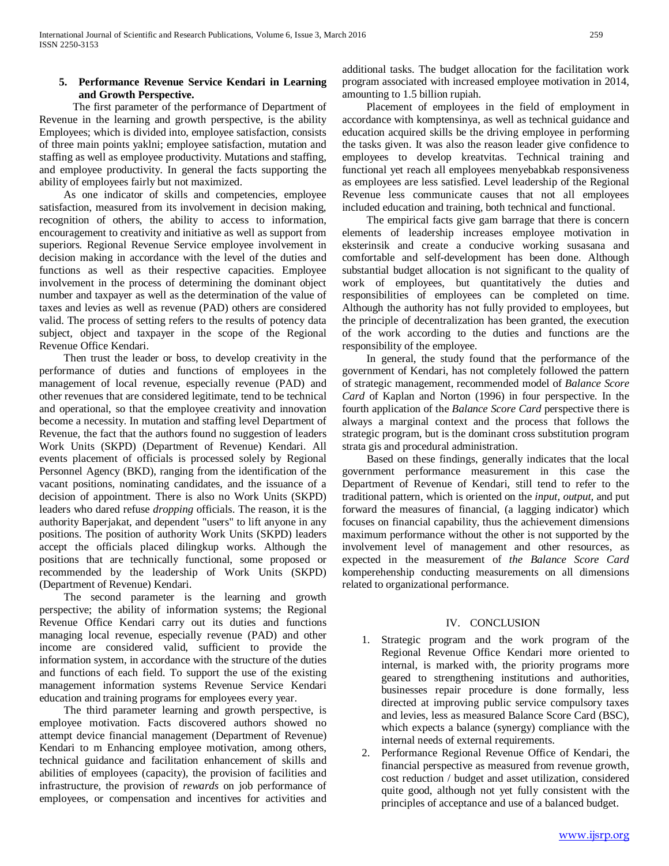## **5. Performance Revenue Service Kendari in Learning and Growth Perspective.**

 The first parameter of the performance of Department of Revenue in the learning and growth perspective, is the ability Employees; which is divided into, employee satisfaction, consists of three main points yaklni; employee satisfaction, mutation and staffing as well as employee productivity. Mutations and staffing, and employee productivity. In general the facts supporting the ability of employees fairly but not maximized.

 As one indicator of skills and competencies, employee satisfaction, measured from its involvement in decision making, recognition of others, the ability to access to information, encouragement to creativity and initiative as well as support from superiors. Regional Revenue Service employee involvement in decision making in accordance with the level of the duties and functions as well as their respective capacities. Employee involvement in the process of determining the dominant object number and taxpayer as well as the determination of the value of taxes and levies as well as revenue (PAD) others are considered valid. The process of setting refers to the results of potency data subject, object and taxpayer in the scope of the Regional Revenue Office Kendari.

 Then trust the leader or boss, to develop creativity in the performance of duties and functions of employees in the management of local revenue, especially revenue (PAD) and other revenues that are considered legitimate, tend to be technical and operational, so that the employee creativity and innovation become a necessity. In mutation and staffing level Department of Revenue, the fact that the authors found no suggestion of leaders Work Units (SKPD) (Department of Revenue) Kendari. All events placement of officials is processed solely by Regional Personnel Agency (BKD), ranging from the identification of the vacant positions, nominating candidates, and the issuance of a decision of appointment. There is also no Work Units (SKPD) leaders who dared refuse *dropping* officials. The reason, it is the authority Baperjakat, and dependent "users" to lift anyone in any positions. The position of authority Work Units (SKPD) leaders accept the officials placed dilingkup works. Although the positions that are technically functional, some proposed or recommended by the leadership of Work Units (SKPD) (Department of Revenue) Kendari.

 The second parameter is the learning and growth perspective; the ability of information systems; the Regional Revenue Office Kendari carry out its duties and functions managing local revenue, especially revenue (PAD) and other income are considered valid, sufficient to provide the information system, in accordance with the structure of the duties and functions of each field. To support the use of the existing management information systems Revenue Service Kendari education and training programs for employees every year.

 The third parameter learning and growth perspective, is employee motivation. Facts discovered authors showed no attempt device financial management (Department of Revenue) Kendari to m Enhancing employee motivation, among others, technical guidance and facilitation enhancement of skills and abilities of employees (capacity), the provision of facilities and infrastructure, the provision of *rewards* on job performance of employees, or compensation and incentives for activities and

additional tasks. The budget allocation for the facilitation work program associated with increased employee motivation in 2014, amounting to 1.5 billion rupiah.

 Placement of employees in the field of employment in accordance with komptensinya, as well as technical guidance and education acquired skills be the driving employee in performing the tasks given. It was also the reason leader give confidence to employees to develop kreatvitas. Technical training and functional yet reach all employees menyebabkab responsiveness as employees are less satisfied. Level leadership of the Regional Revenue less communicate causes that not all employees included education and training, both technical and functional.

 The empirical facts give gam barrage that there is concern elements of leadership increases employee motivation in eksterinsik and create a conducive working susasana and comfortable and self-development has been done. Although substantial budget allocation is not significant to the quality of work of employees, but quantitatively the duties and responsibilities of employees can be completed on time. Although the authority has not fully provided to employees, but the principle of decentralization has been granted, the execution of the work according to the duties and functions are the responsibility of the employee.

 In general, the study found that the performance of the government of Kendari, has not completely followed the pattern of strategic management, recommended model of *Balance Score Card* of Kaplan and Norton (1996) in four perspective. In the fourth application of the *Balance Score Card* perspective there is always a marginal context and the process that follows the strategic program, but is the dominant cross substitution program strata gis and procedural administration.

 Based on these findings, generally indicates that the local government performance measurement in this case the Department of Revenue of Kendari, still tend to refer to the traditional pattern, which is oriented on the *input, output,* and put forward the measures of financial, (a lagging indicator) which focuses on financial capability, thus the achievement dimensions maximum performance without the other is not supported by the involvement level of management and other resources, as expected in the measurement of *the Balance Score Card* komperehenship conducting measurements on all dimensions related to organizational performance.

#### IV. CONCLUSION

- 1. Strategic program and the work program of the Regional Revenue Office Kendari more oriented to internal, is marked with, the priority programs more geared to strengthening institutions and authorities, businesses repair procedure is done formally, less directed at improving public service compulsory taxes and levies, less as measured Balance Score Card (BSC), which expects a balance (synergy) compliance with the internal needs of external requirements.
- 2. Performance Regional Revenue Office of Kendari, the financial perspective as measured from revenue growth, cost reduction / budget and asset utilization, considered quite good, although not yet fully consistent with the principles of acceptance and use of a balanced budget.